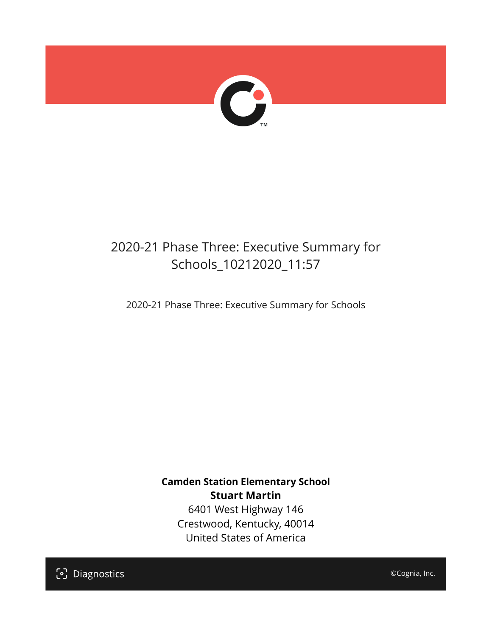

## 2020-21 Phase Three: Executive Summary for Schools\_10212020\_11:57

2020-21 Phase Three: Executive Summary for Schools

**Camden Station Elementary School Stuart Martin** 6401 West Highway 146

Crestwood, Kentucky, 40014 United States of America

[၁] Diagnostics

©Cognia, Inc.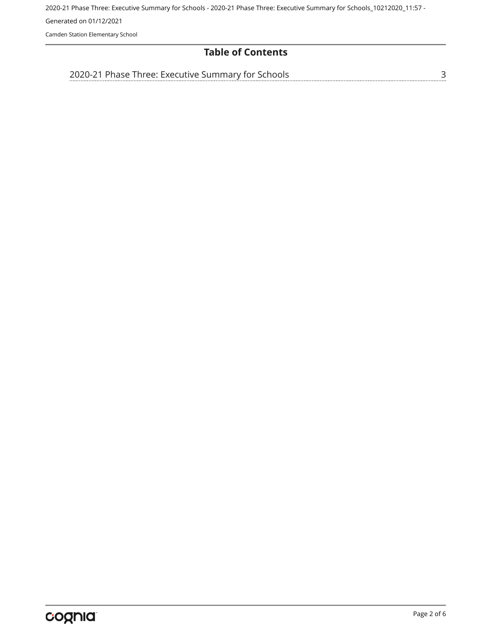2020-21 Phase Three: Executive Summary for Schools - 2020-21 Phase Three: Executive Summary for Schools\_10212020\_11:57 - Generated on 01/12/2021 Camden Station Elementary School

### **Table of Contents**

[3](#page-2-0)

[2020-21 Phase Three: Executive Summary for Schools](#page-2-0)

Page 2 of 6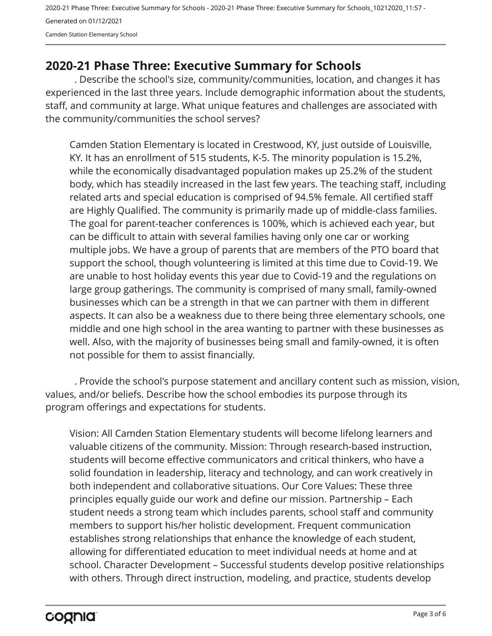2020-21 Phase Three: Executive Summary for Schools - 2020-21 Phase Three: Executive Summary for Schools\_10212020\_11:57 - Generated on 01/12/2021 Camden Station Elementary School

## <span id="page-2-0"></span>**2020-21 Phase Three: Executive Summary for Schools**

. Describe the school's size, community/communities, location, and changes it has experienced in the last three years. Include demographic information about the students, staff, and community at large. What unique features and challenges are associated with the community/communities the school serves?

Camden Station Elementary is located in Crestwood, KY, just outside of Louisville, KY. It has an enrollment of 515 students, K-5. The minority population is 15.2%, while the economically disadvantaged population makes up 25.2% of the student body, which has steadily increased in the last few years. The teaching staff, including related arts and special education is comprised of 94.5% female. All certified staff are Highly Qualified. The community is primarily made up of middle-class families. The goal for parent-teacher conferences is 100%, which is achieved each year, but can be difficult to attain with several families having only one car or working multiple jobs. We have a group of parents that are members of the PTO board that support the school, though volunteering is limited at this time due to Covid-19. We are unable to host holiday events this year due to Covid-19 and the regulations on large group gatherings. The community is comprised of many small, family-owned businesses which can be a strength in that we can partner with them in different aspects. It can also be a weakness due to there being three elementary schools, one middle and one high school in the area wanting to partner with these businesses as well. Also, with the majority of businesses being small and family-owned, it is often not possible for them to assist financially.

. Provide the school's purpose statement and ancillary content such as mission, vision, values, and/or beliefs. Describe how the school embodies its purpose through its program offerings and expectations for students.

Vision: All Camden Station Elementary students will become lifelong learners and valuable citizens of the community. Mission: Through research-based instruction, students will become effective communicators and critical thinkers, who have a solid foundation in leadership, literacy and technology, and can work creatively in both independent and collaborative situations. Our Core Values: These three principles equally guide our work and define our mission. Partnership – Each student needs a strong team which includes parents, school staff and community members to support his/her holistic development. Frequent communication establishes strong relationships that enhance the knowledge of each student, allowing for differentiated education to meet individual needs at home and at school. Character Development – Successful students develop positive relationships with others. Through direct instruction, modeling, and practice, students develop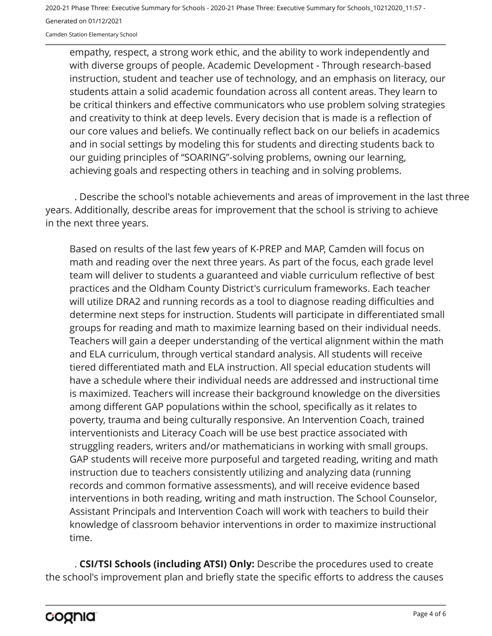2020-21 Phase Three: Executive Summary for Schools - 2020-21 Phase Three: Executive Summary for Schools\_10212020\_11:57 - Generated on 01/12/2021

Camden Station Elementary School

empathy, respect, a strong work ethic, and the ability to work independently and with diverse groups of people. Academic Development - Through research-based instruction, student and teacher use of technology, and an emphasis on literacy, our students attain a solid academic foundation across all content areas. They learn to be critical thinkers and effective communicators who use problem solving strategies and creativity to think at deep levels. Every decision that is made is a reflection of our core values and beliefs. We continually reflect back on our beliefs in academics and in social settings by modeling this for students and directing students back to our guiding principles of "SOARING"-solving problems, owning our learning, achieving goals and respecting others in teaching and in solving problems.

. Describe the school's notable achievements and areas of improvement in the last three years. Additionally, describe areas for improvement that the school is striving to achieve in the next three years.

Based on results of the last few years of K-PREP and MAP, Camden will focus on math and reading over the next three years. As part of the focus, each grade level team will deliver to students a guaranteed and viable curriculum reflective of best practices and the Oldham County District's curriculum frameworks. Each teacher will utilize DRA2 and running records as a tool to diagnose reading difficulties and determine next steps for instruction. Students will participate in differentiated small groups for reading and math to maximize learning based on their individual needs. Teachers will gain a deeper understanding of the vertical alignment within the math and ELA curriculum, through vertical standard analysis. All students will receive tiered differentiated math and ELA instruction. All special education students will have a schedule where their individual needs are addressed and instructional time is maximized. Teachers will increase their background knowledge on the diversities among different GAP populations within the school, specifically as it relates to poverty, trauma and being culturally responsive. An Intervention Coach, trained interventionists and Literacy Coach will be use best practice associated with struggling readers, writers and/or mathematicians in working with small groups. GAP students will receive more purposeful and targeted reading, writing and math instruction due to teachers consistently utilizing and analyzing data (running records and common formative assessments), and will receive evidence based interventions in both reading, writing and math instruction. The School Counselor, Assistant Principals and Intervention Coach will work with teachers to build their knowledge of classroom behavior interventions in order to maximize instructional time.

. **CSI/TSI Schools (including ATSI) Only:** Describe the procedures used to create the school's improvement plan and briefly state the specific efforts to address the causes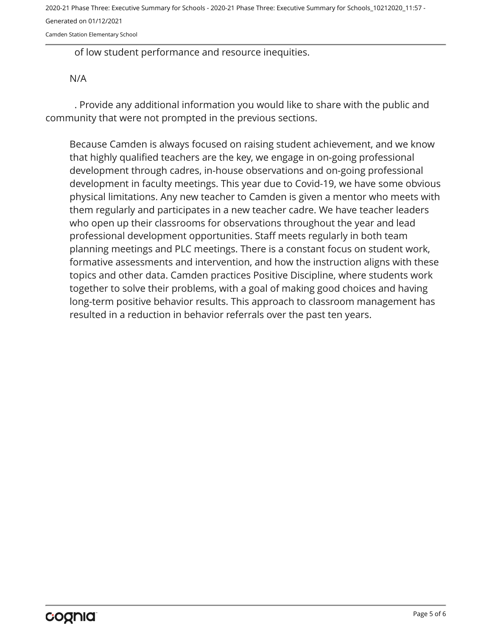2020-21 Phase Three: Executive Summary for Schools - 2020-21 Phase Three: Executive Summary for Schools\_10212020\_11:57 - Generated on 01/12/2021

Camden Station Elementary School

of low student performance and resource inequities.

#### N/A

. Provide any additional information you would like to share with the public and community that were not prompted in the previous sections.

Because Camden is always focused on raising student achievement, and we know that highly qualified teachers are the key, we engage in on-going professional development through cadres, in-house observations and on-going professional development in faculty meetings. This year due to Covid-19, we have some obvious physical limitations. Any new teacher to Camden is given a mentor who meets with them regularly and participates in a new teacher cadre. We have teacher leaders who open up their classrooms for observations throughout the year and lead professional development opportunities. Staff meets regularly in both team planning meetings and PLC meetings. There is a constant focus on student work, formative assessments and intervention, and how the instruction aligns with these topics and other data. Camden practices Positive Discipline, where students work together to solve their problems, with a goal of making good choices and having long-term positive behavior results. This approach to classroom management has resulted in a reduction in behavior referrals over the past ten years.